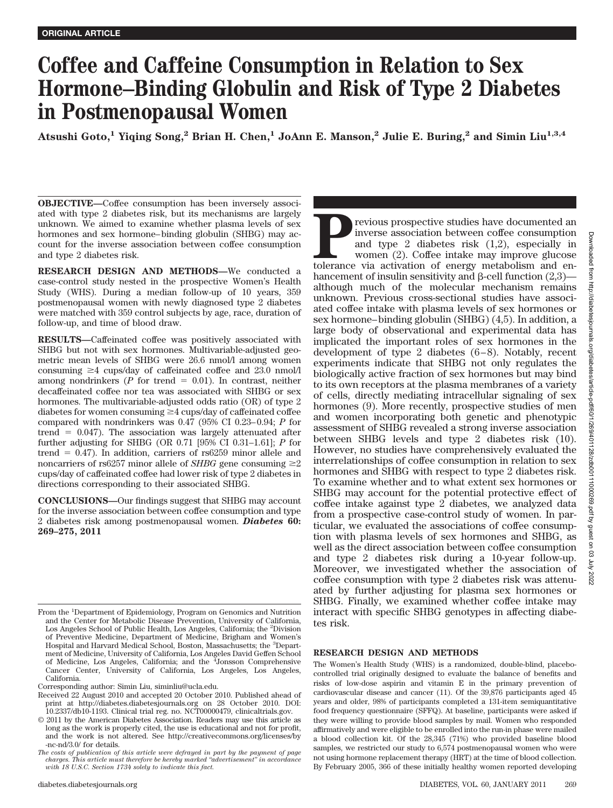# **Coffee and Caffeine Consumption in Relation to Sex Hormone–Binding Globulin and Risk of Type 2 Diabetes in Postmenopausal Women**

**Atsushi Goto,1 Yiqing Song,2 Brian H. Chen,1 JoAnn E. Manson,2 Julie E. Buring,2 and Simin Liu1,3,4**

**OBJECTIVE—**Coffee consumption has been inversely associated with type 2 diabetes risk, but its mechanisms are largely unknown. We aimed to examine whether plasma levels of sex hormones and sex hormone–binding globulin (SHBG) may account for the inverse association between coffee consumption and type 2 diabetes risk.

**RESEARCH DESIGN AND METHODS—**We conducted a case-control study nested in the prospective Women's Health Study (WHS). During a median follow-up of 10 years, 359 postmenopausal women with newly diagnosed type 2 diabetes were matched with 359 control subjects by age, race, duration of follow-up, and time of blood draw.

**RESULTS—**Caffeinated coffee was positively associated with SHBG but not with sex hormones. Multivariable-adjusted geometric mean levels of SHBG were 26.6 nmol/l among women consuming  $\geq 4$  cups/day of caffeinated coffee and 23.0 nmol/l among nondrinkers ( $P$  for trend  $= 0.01$ ). In contrast, neither decaffeinated coffee nor tea was associated with SHBG or sex hormones. The multivariable-adjusted odds ratio (OR) of type 2 diabetes for women consuming  $\geq$ 4 cups/day of caffeinated coffee compared with nondrinkers was 0.47 (95% CI 0.23–0.94; *P* for trend  $= 0.047$ ). The association was largely attenuated after further adjusting for SHBG (OR 0.71 [95% CI 0.31–1.61]; *P* for trend  $= 0.47$ ). In addition, carriers of rs $6259$  minor allele and noncarriers of rs6257 minor allele of *SHBG* gene consuming  $\geq 2$ cups/day of caffeinated coffee had lower risk of type 2 diabetes in directions corresponding to their associated SHBG.

**CONCLUSIONS—**Our findings suggest that SHBG may account for the inverse association between coffee consumption and type 2 diabetes risk among postmenopausal women. *Diabetes* **60: 269–275, 2011**

- Received 22 August 2010 and accepted 20 October 2010. Published ahead of print at http://diabetes.diabetesjournals.org on 28 October 2010. DOI: 10.2337/db10-1193. Clinical trial reg. no. NCT00000479, clinicaltrials.gov.
- © 2011 by the American Diabetes Association. Readers may use this article as long as the work is properly cited, the use is educational and not for profit, and the work is not altered. See http://creativecommons.org/licenses/by -nc-nd/3.0/ for details.

**Previous prospective studies have documented an inverse association between coffee consumption and type 2 diabetes risk (1,2), especially in women (2). Coffee intake may improve glucose tolerance via activation of energy** inverse association between coffee consumption and type 2 diabetes risk (1,2), especially in women (2). Coffee intake may improve glucose tolerance via activation of energy metabolism and enhancement of insulin sensitivity and  $\beta$ -cell function  $(2,3)$ —

although much of the molecular mechanism remains unknown. Previous cross-sectional studies have associated coffee intake with plasma levels of sex hormones or sex hormone–binding globulin (SHBG) (4,5). In addition, a large body of observational and experimental data has implicated the important roles of sex hormones in the development of type 2 diabetes (6–8). Notably, recent experiments indicate that SHBG not only regulates the biologically active fraction of sex hormones but may bind to its own receptors at the plasma membranes of a variety of cells, directly mediating intracellular signaling of sex hormones (9). More recently, prospective studies of men and women incorporating both genetic and phenotypic assessment of SHBG revealed a strong inverse association between SHBG levels and type 2 diabetes risk (10). However, no studies have comprehensively evaluated the interrelationships of coffee consumption in relation to sex hormones and SHBG with respect to type 2 diabetes risk. To examine whether and to what extent sex hormones or SHBG may account for the potential protective effect of coffee intake against type 2 diabetes, we analyzed data from a prospective case-control study of women. In particular, we evaluated the associations of coffee consumption with plasma levels of sex hormones and SHBG, as well as the direct association between coffee consumption and type 2 diabetes risk during a 10-year follow-up. Moreover, we investigated whether the association of coffee consumption with type 2 diabetes risk was attenuated by further adjusting for plasma sex hormones or SHBG. Finally, we examined whether coffee intake may interact with specific SHBG genotypes in affecting diabetes risk.

#### **RESEARCH DESIGN AND METHODS**

The Women's Health Study (WHS) is a randomized, double-blind, placebocontrolled trial originally designed to evaluate the balance of benefits and risks of low-dose aspirin and vitamin E in the primary prevention of cardiovascular disease and cancer (11). Of the 39,876 participants aged 45 years and older, 98% of participants completed a 131-item semiquantitative food frequency questionnaire (SFFQ). At baseline, participants were asked if they were willing to provide blood samples by mail. Women who responded affirmatively and were eligible to be enrolled into the run-in phase were mailed a blood collection kit. Of the 28,345 (71%) who provided baseline blood samples, we restricted our study to 6,574 postmenopausal women who were not using hormone replacement therapy (HRT) at the time of blood collection. By February 2005, 366 of these initially healthy women reported developing

From the <sup>1</sup>Department of Epidemiology, Program on Genomics and Nutrition and the Center for Metabolic Disease Prevention, University of California, Los Angeles School of Public Health, Los Angeles, California; the <sup>2</sup>Division of Preventive Medicine, Department of Medicine, Brigham and Women's Hospital and Harvard Medical School, Boston, Massachusetts; the <sup>3</sup>Department of Medicine, University of California, Los Angeles David Geffen School of Medicine, Los Angeles, California; and the <sup>4</sup>Jonsson Comprehensive Cancer Center, University of California, Los Angeles, Los Angeles, California.

Corresponding author: Simin Liu, siminliu@ucla.edu.

*The costs of publication of this article were defrayed in part by the payment of page charges. This article must therefore be hereby marked "advertisement" in accordance with 18 U.S.C. Section 1734 solely to indicate this fact.*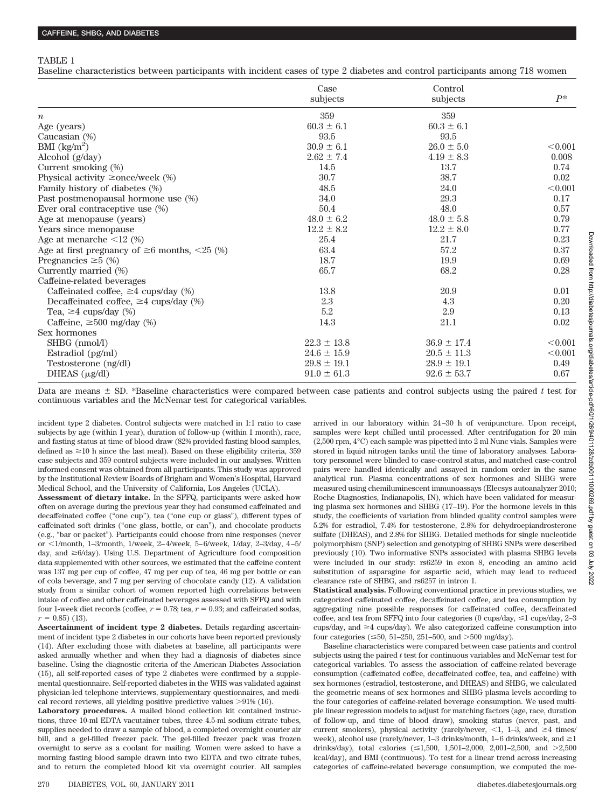#### TABLE 1

Baseline characteristics between participants with incident cases of type 2 diabetes and control participants among 718 women

|                                                         | Case<br>subjects | Control<br>subjects | $P^*$          |
|---------------------------------------------------------|------------------|---------------------|----------------|
| $\boldsymbol{n}$                                        | 359              | 359                 |                |
| Age (years)                                             | $60.3 \pm 6.1$   | $60.3 \pm 6.1$      |                |
| Caucasian $(\%)$                                        | 93.5             | 93.5                |                |
| BMI $(kg/m^2)$                                          | $30.9 \pm 6.1$   | $26.0 \pm 5.0$      | $< \!\! 0.001$ |
| Alcohol (g/day)                                         | $2.62 \pm 7.4$   | $4.19 \pm 8.3$      | 0.008          |
| Current smoking (%)                                     | 14.5             | 13.7                | 0.74           |
| Physical activity $\geq$ once/week $(\%)$               | 30.7             | 38.7                | 0.02           |
| Family history of diabetes (%)                          | 48.5             | 24.0                | < 0.001        |
| Past postmenopausal hormone use (%)                     | 34.0             | 29.3                | 0.17           |
| Ever oral contraceptive use $(\%)$                      | 50.4             | 48.0                | 0.57           |
| Age at menopause (years)                                | $48.0 \pm 6.2$   | $48.0 \pm 5.8$      | 0.79           |
| Years since menopause                                   | $12.2 \pm 8.2$   | $12.2 \pm 8.0$      | 0.77           |
| Age at menarche $\leq$ 12 (%)                           | 25.4             | 21.7                | 0.23           |
| Age at first pregnancy of $\geq 6$ months, $\lt 25$ (%) | 63.4             | 57.2                | 0.37           |
| Pregnancies $\geq 5$ (%)                                | 18.7             | 19.9                | 0.69           |
| Currently married (%)                                   | 65.7             | 68.2                | 0.28           |
| Caffeine-related beverages                              |                  |                     |                |
| Caffeinated coffee, $\geq 4$ cups/day (%)               | $13.8\,$         | 20.9                | 0.01           |
| Decaffeinated coffee, $\geq 4$ cups/day (%)             | 2.3              | 4.3                 | 0.20           |
| Tea, $\geq$ 4 cups/day (%)                              | $5.2\,$          | 2.9                 | 0.13           |
| Caffeine, $\geq 500$ mg/day (%)                         | 14.3             | 21.1                | 0.02           |
| Sex hormones                                            |                  |                     |                |
| SHBG (nmol/l)                                           | $22.3 \pm 13.8$  | $36.9 \pm 17.4$     | < 0.001        |
| Estradiol (pg/ml)                                       | $24.6 \pm 15.9$  | $20.5 \pm 11.3$     | < 0.001        |
| Testosterone (ng/dl)                                    | $29.8 \pm 19.1$  | $28.9 \pm 19.1$     | 0.49           |
| DHEAS (µg/dl)                                           | $91.0 \pm 61.3$  | $92.6 \pm 53.7$     | 0.67           |

Data are means  $\pm$  SD. \*Baseline characteristics were compared between case patients and control subjects using the paired *t* test for continuous variables and the McNemar test for categorical variables.

incident type 2 diabetes. Control subjects were matched in 1:1 ratio to case subjects by age (within 1 year), duration of follow-up (within 1 month), race, and fasting status at time of blood draw (82% provided fasting blood samples, defined as  $\geq 10$  h since the last meal). Based on these eligibility criteria, 359 case subjects and 359 control subjects were included in our analyses. Written informed consent was obtained from all participants. This study was approved by the Institutional Review Boards of Brigham and Women's Hospital, Harvard Medical School, and the University of California, Los Angeles (UCLA).

**Assessment of dietary intake.** In the SFFQ, participants were asked how often on average during the previous year they had consumed caffeinated and decaffeinated coffee ("one cup"), tea ("one cup or glass"), different types of caffeinated soft drinks ("one glass, bottle, or can"), and chocolate products (e.g., "bar or packet"). Participants could choose from nine responses (never or 1/month, 1–3/month, 1/week, 2–4/week, 5–6/week, 1/day, 2–3/day, 4–5/ day, and  $\geq 6$ /day). Using U.S. Department of Agriculture food composition data supplemented with other sources, we estimated that the caffeine content was 137 mg per cup of coffee, 47 mg per cup of tea, 46 mg per bottle or can of cola beverage, and 7 mg per serving of chocolate candy (12). A validation study from a similar cohort of women reported high correlations between intake of coffee and other caffeinated beverages assessed with SFFQ and with four 1-week diet records (coffee,  $r = 0.78$ ; tea,  $r = 0.93$ ; and caffeinated sodas,  $r = 0.85$ ) (13).

**Ascertainment of incident type 2 diabetes.** Details regarding ascertainment of incident type 2 diabetes in our cohorts have been reported previously (14). After excluding those with diabetes at baseline, all participants were asked annually whether and when they had a diagnosis of diabetes since baseline. Using the diagnostic criteria of the American Diabetes Association (15), all self-reported cases of type 2 diabetes were confirmed by a supplemental questionnaire. Self-reported diabetes in the WHS was validated against physician-led telephone interviews, supplementary questionnaires, and medical record reviews, all yielding positive predictive values  $>91\%$  (16).

**Laboratory procedures.** A mailed blood collection kit contained instructions, three 10-ml EDTA vacutainer tubes, three 4.5-ml sodium citrate tubes, supplies needed to draw a sample of blood, a completed overnight courier air bill, and a gel-filled freezer pack. The gel-filled freezer pack was frozen overnight to serve as a coolant for mailing. Women were asked to have a morning fasting blood sample drawn into two EDTA and two citrate tubes, and to return the completed blood kit via overnight courier. All samples arrived in our laboratory within 24–30 h of venipuncture. Upon receipt, samples were kept chilled until processed. After centrifugation for 20 min (2,500 rpm, 4°C) each sample was pipetted into 2 ml Nunc vials. Samples were stored in liquid nitrogen tanks until the time of laboratory analyses. Laboratory personnel were blinded to case-control status, and matched case-control pairs were handled identically and assayed in random order in the same analytical run. Plasma concentrations of sex hormones and SHBG were measured using chemiluminescent immunoassays (Elecsys autoanalyzer 2010; Roche Diagnostics, Indianapolis, IN), which have been validated for measuring plasma sex hormones and SHBG (17–19). For the hormone levels in this study, the coefficients of variation from blinded quality control samples were 5.2% for estradiol, 7.4% for testosterone, 2.8% for dehydroepiandrosterone sulfate (DHEAS), and 2.8% for SHBG. Detailed methods for single nucleotide polymorphism (SNP) selection and genotyping of SHBG SNPs were described previously (10). Two informative SNPs associated with plasma SHBG levels were included in our study: rs6259 in exon 8, encoding an amino acid substitution of asparagine for aspartic acid, which may lead to reduced clearance rate of SHBG, and rs6257 in intron 1.

**Statistical analysis.** Following conventional practice in previous studies, we categorized caffeinated coffee, decaffeinated coffee, and tea consumption by aggregating nine possible responses for caffeinated coffee, decaffeinated coffee, and tea from SFFQ into four categories (0 cups/day,  $\leq 1$  cups/day, 2-3 cups/day, and  $\geq$ 4 cups/day). We also categorized caffeine consumption into four categories ( $\leq 50$ , 51–250, 251–500, and  $> 500$  mg/day).

Baseline characteristics were compared between case patients and control subjects using the paired *t* test for continuous variables and McNemar test for categorical variables. To assess the association of caffeine-related beverage consumption (caffeinated coffee, decaffeinated coffee, tea, and caffeine) with sex hormones (estradiol, testosterone, and DHEAS) and SHBG, we calculated the geometric means of sex hormones and SHBG plasma levels according to the four categories of caffeine-related beverage consumption. We used multiple linear regression models to adjust for matching factors (age, race, duration of follow-up, and time of blood draw), smoking status (never, past, and current smokers), physical activity (rarely/never,  $\leq 1$ , 1–3, and  $\geq 4$  times/ week), alcohol use (rarely/never, 1-3 drinks/month, 1-6 drinks/week, and  $\geq$ 1 drinks/day), total calories  $(\leq 1, 500, 1, 501-2, 000, 2, 001-2, 500, \text{ and } >2, 500$ kcal/day), and BMI (continuous). To test for a linear trend across increasing categories of caffeine-related beverage consumption, we computed the me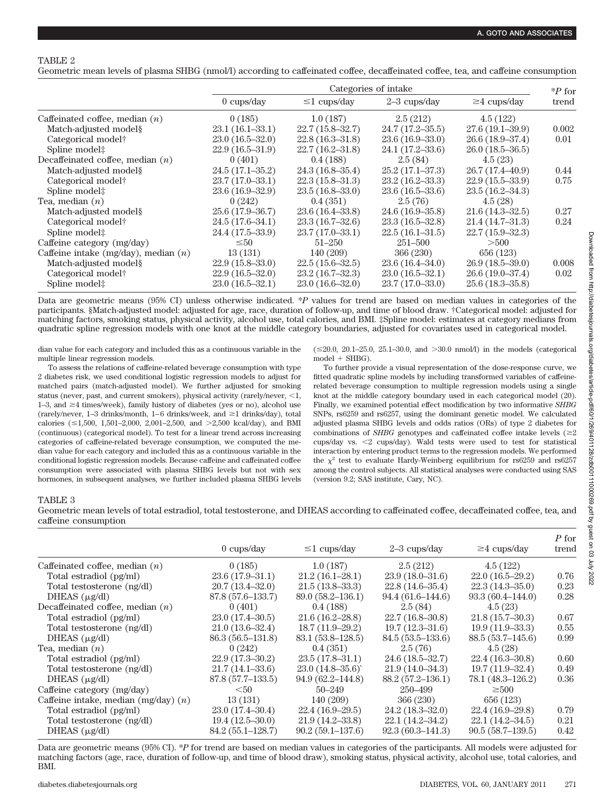Geometric mean levels of plasma SHBG (nmol/l) according to caffeinated coffee, decaffeinated coffee, tea, and caffeine consumption

|                                               | Categories of intake<br>$*P$ for |                     |                     |                     |       |  |
|-----------------------------------------------|----------------------------------|---------------------|---------------------|---------------------|-------|--|
|                                               | $0 \text{ cups/day}$             | $\leq 1$ cups/day   | $2-3$ cups/day      | $\geq$ 4 cups/day   | trend |  |
| Caffeinated coffee, median $(n)$              | 0(185)                           | 1.0(187)            | 2.5(212)            | 4.5(122)            |       |  |
| Match-adjusted model§                         | $23.1(16.1-33.1)$                | $22.7(15.8-32.7)$   | $24.7(17.2 - 35.5)$ | $27.6(19.1 - 39.9)$ | 0.002 |  |
| Categorical model <sup>†</sup>                | $23.0(16.5-32.0)$                | $22.8(16.3 - 31.8)$ | $23.6(16.9-33.0)$   | $26.6(18.9 - 37.4)$ | 0.01  |  |
| Spline model <sup>#</sup>                     | $22.9(16.5-31.9)$                | $22.7(16.2 - 31.8)$ | $24.1(17.2 - 33.6)$ | $26.0(18.5-36.5)$   |       |  |
| Decaffeinated coffee, median $(n)$            | 0(401)                           | 0.4(188)            | 2.5(84)             | 4.5(23)             |       |  |
| Match-adjusted model§                         | $24.5(17.1 - 35.2)$              | $24.3(16.8-35.4)$   | $25.2(17.1 - 37.3)$ | 26.7 (17.4–40.9)    | 0.44  |  |
| Categorical model <sup>†</sup>                | $23.7(17.0-33.1)$                | $22.3(15.8 - 31.3)$ | $23.2(16.2 - 33.3)$ | $22.9(15.5 - 33.9)$ | 0.75  |  |
| Spline model <sup>#</sup>                     | $23.6(16.9 - 32.9)$              | $23.5(16.8-33.0)$   | $23.6(16.5-33.6)$   | $23.5(16.2 - 34.3)$ |       |  |
| Tea, median $(n)$                             | 0(242)                           | 0.4(351)            | 2.5(76)             | 4.5(28)             |       |  |
| Match-adjusted model§                         | $25.6(17.9-36.7)$                | $23.6(16.4 - 33.8)$ | 24.6 (16.9–35.8)    | $21.6(14.3 - 32.5)$ | 0.27  |  |
| Categorical model <sup>†</sup>                | $24.5(17.6-34.1)$                | $23.3(16.7-32.6)$   | $23.3(16.5-32.8)$   | $21.4(14.7-31.3)$   | 0.24  |  |
| Spline model <sup><math>\ddagger</math></sup> | $24.4(17.5-33.9)$                | $23.7(17.0-33.1)$   | $22.5(16.1-31.5)$   | $22.7(15.9 - 32.3)$ |       |  |
| Caffeine category (mg/day)                    | $\leq 50$                        | $51 - 250$          | 251–500             | >500                |       |  |
| Caffeine intake (mg/day), median $(n)$        | 13(131)                          | 140 (209)           | 366 (230)           | 656 (123)           |       |  |
| Match-adjusted model§                         | $22.9(15.8-33.0)$                | $22.5(15.6-32.5)$   | 23.6 (16.4–34.0)    | $26.9(18.5-39.0)$   | 0.008 |  |
| Categorical model <sup>†</sup>                | $22.9(16.5-32.0)$                | $23.2(16.7-32.3)$   | $23.0(16.5-32.1)$   | $26.6(19.0-37.4)$   | 0.02  |  |
| Spline model <sup>#</sup>                     | $23.0(16.5-32.1)$                | $23.0(16.6 - 32.0)$ | $23.7(17.0-33.0)$   | $25.6(18.3 - 35.8)$ |       |  |

Data are geometric means (95% CI) unless otherwise indicated. \**P* values for trend are based on median values in categories of the participants. §Match-adjusted model: adjusted for age, race, duration of follow-up, and time of blood draw. †Categorical model: adjusted for matching factors, smoking status, physical activity, alcohol use, total calories, and BMI. ‡Spline model: estimates at category medians from quadratic spline regression models with one knot at the middle category boundaries, adjusted for covariates used in categorical model.

dian value for each category and included this as a continuous variable in the multiple linear regression models.

To assess the relations of caffeine-related beverage consumption with type 2 diabetes risk, we used conditional logistic regression models to adjust for matched pairs (match-adjusted model). We further adjusted for smoking status (never, past, and current smokers), physical activity (rarely/never,  $<$ 1, 1–3, and  $\geq$ 4 times/week), family history of diabetes (yes or no), alcohol use (rarely/never, 1–3 drinks/month, 1–6 drinks/week, and  $\geq$ 1 drinks/day), total calories  $(\leq 1,500, 1,501-2,000, 2,001-2,500, \text{ and } >2,500 \text{ kcal/day})$ , and BMI (continuous) (categorical model). To test for a linear trend across increasing categories of caffeine-related beverage consumption, we computed the median value for each category and included this as a continuous variable in the conditional logistic regression models. Because caffeine and caffeinated coffee consumption were associated with plasma SHBG levels but not with sex hormones, in subsequent analyses, we further included plasma SHBG levels

 $(\leq 20.0, 20.1 - 25.0, 25.1 - 30.0, \text{ and } > 30.0 \text{ nmol/l})$  in the models (categorical  $model + SHBG$ ).

To further provide a visual representation of the dose-response curve, we fitted quadratic spline models by including transformed variables of caffeinerelated beverage consumption to multiple regression models using a single knot at the middle category boundary used in each categorical model (20). Finally, we examined potential effect modification by two informative *SHBG* SNPs, rs6259 and rs6257, using the dominant genetic model. We calculated adjusted plasma SHBG levels and odds ratios (ORs) of type 2 diabetes for combinations of *SHBG* genotypes and caffeinated coffee intake levels  $(\geq 2)$ cups/day vs.  $\leq$  cups/day). Wald tests were used to test for statistical interaction by entering product terms to the regression models. We performed the  $\chi^2$  test to evaluate Hardy-Weinberg equilibrium for rs6259 and rs6257 among the control subjects. All statistical analyses were conducted using SAS (version 9.2; SAS institute, Cary, NC).

# TABLE 3

Geometric mean levels of total estradiol, total testosterone, and DHEAS according to caffeinated coffee, decaffeinated coffee, tea, and caffeine consumption

|                                        | $0 \text{ cups/day}$ | $\leq 1$ cups/day    | $2-3$ cups/day       | $\geq$ 4 cups/day    | P for<br>trend |
|----------------------------------------|----------------------|----------------------|----------------------|----------------------|----------------|
| Caffeinated coffee, median $(n)$       | 0(185)               | 1.0(187)             | 2.5(212)             | 4.5(122)             |                |
| Total estradiol (pg/ml)                | $23.6(17.9-31.1)$    | $21.2(16.1-28.1)$    | $23.9(18.0-31.6)$    | $22.0(16.5-29.2)$    | 0.76           |
| Total testosterone (ng/dl)             | $20.7(13.4 - 32.0)$  | $21.5(13.8-33.3)$    | $22.8(14.6 - 35.4)$  | $22.3(14.3-35.0)$    | 0.23           |
| DHEAS $(\mu$ g/dl)                     | 87.8 (57.6–133.7)    | $89.0(58.2 - 136.1)$ | $94.4(61.6-144.6)$   | $93.3(60.4 - 144.0)$ | 0.28           |
| Decaffeinated coffee, median $(n)$     | 0(401)               | 0.4(188)             | 2.5(84)              | 4.5(23)              |                |
| Total estradiol (pg/ml)                | $23.0(17.4 - 30.5)$  | $21.6(16.2 - 28.8)$  | $22.7(16.8-30.8)$    | $21.8(15.7-30.3)$    | 0.67           |
| Total testosterone (ng/dl)             | $21.0(13.6 - 32.4)$  | $18.7(11.9-29.2)$    | $19.7(12.3 - 31.6)$  | $19.9(11.9-33.3)$    | 0.55           |
| DHEAS $(\mu$ g/dl)                     | $86.3(56.5-131.8)$   | $83.1(53.8-128.5)$   | $84.5(53.5-133.6)$   | $88.5(53.7-145.6)$   | 0.99           |
| Tea, median $(n)$                      | 0(242)               | 0.4(351)             | 2.5(76)              | 4.5(28)              |                |
| Total estradiol (pg/ml)                | $22.9(17.3-30.2)$    | $23.5(17.8-31.1)$    | $24.6(18.5-32.7)$    | $22.4(16.3-30.8)$    | 0.60           |
| Total testosterone (ng/dl)             | $21.7(14.1 - 33.6)$  | $23.0(14.8-35.6)$    | $21.9(14.0 - 34.3)$  | $19.7(11.9 - 32.4)$  | 0.49           |
| DHEAS $(\mu$ g/dl)                     | 87.8 (57.7–133.5)    | $94.9(62.2 - 144.8)$ | 88.2 (57.2–136.1)    | 78.1 (48.3–126.2)    | 0.36           |
| Caffeine category (mg/day)             | < 50                 | 50–249               | 250–499              | $\geq 500$           |                |
| Caffeine intake, median (mg/day) $(n)$ | 13 (131)             | 140 (209)            | 366 (230)            | 656 (123)            |                |
| Total estradiol (pg/ml)                | $23.0(17.4 - 30.4)$  | $22.4(16.9-29.5)$    | $24.2(18.3 - 32.0)$  | $22.4(16.9-29.8)$    | 0.79           |
| Total testosterone (ng/dl)             | $19.4(12.5-30.0)$    | $21.9(14.2 - 33.8)$  | $22.1(14.2 - 34.2)$  | $22.1(14.2 - 34.5)$  | 0.21           |
| DHEAS $(\mu g/dl)$                     | $84.2(55.1 - 128.7)$ | $90.2(59.1-137.6)$   | $92.3(60.3 - 141.3)$ | $90.5(58.7-139.5)$   | 0.42           |

Data are geometric means (95% CI). \**P* for trend are based on median values in categories of the participants. All models were adjusted for matching factors (age, race, duration of follow-up, and time of blood draw), smoking status, physical activity, alcohol use, total calories, and BMI.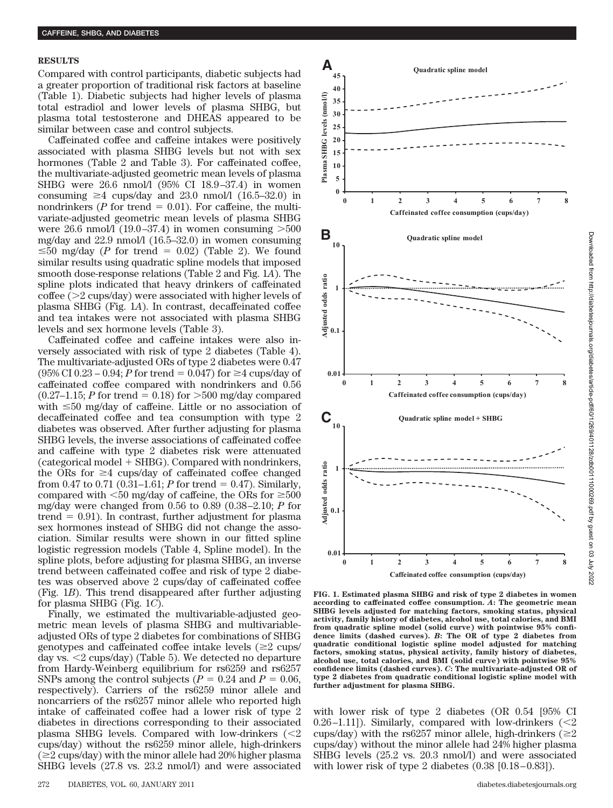#### **RESULTS**

Compared with control participants, diabetic subjects had a greater proportion of traditional risk factors at baseline (Table 1). Diabetic subjects had higher levels of plasma total estradiol and lower levels of plasma SHBG, but plasma total testosterone and DHEAS appeared to be similar between case and control subjects.

Caffeinated coffee and caffeine intakes were positively associated with plasma SHBG levels but not with sex hormones (Table 2 and Table 3). For caffeinated coffee, the multivariate-adjusted geometric mean levels of plasma SHBG were 26.6 nmol/l (95% CI 18.9–37.4) in women consuming  $\geq 4$  cups/day and 23.0 nmol/l (16.5–32.0) in nondrinkers ( $P$  for trend  $= 0.01$ ). For caffeine, the multivariate-adjusted geometric mean levels of plasma SHBG were  $26.6$  nmol/l  $(19.0-37.4)$  in women consuming  $>500$ mg/day and  $22.9 \text{ nmol}/1$  (16.5–32.0) in women consuming  $\leq$ 50 mg/day (*P* for trend = 0.02) (Table 2). We found similar results using quadratic spline models that imposed smooth dose-response relations (Table 2 and Fig. 1*A*). The spline plots indicated that heavy drinkers of caffeinated coffee  $(>2 \text{ cups/day})$  were associated with higher levels of plasma SHBG (Fig. 1*A*). In contrast, decaffeinated coffee and tea intakes were not associated with plasma SHBG levels and sex hormone levels (Table 3).

Caffeinated coffee and caffeine intakes were also inversely associated with risk of type 2 diabetes (Table 4). The multivariate-adjusted ORs of type 2 diabetes were 0.47  $(95\% \text{ CI } 0.23 - 0.94; P \text{ for trend} = 0.047) \text{ for } \geq 4 \text{ cups/day of}$ caffeinated coffee compared with nondrinkers and 0.56  $(0.27-1.15; P$  for trend = 0.18) for  $>500$  mg/day compared with  $\leq 50$  mg/day of caffeine. Little or no association of decaffeinated coffee and tea consumption with type 2 diabetes was observed. After further adjusting for plasma SHBG levels, the inverse associations of caffeinated coffee and caffeine with type 2 diabetes risk were attenuated  $(categorical model + SHBG)$ . Compared with nondrinkers, the ORs for  $\geq 4$  cups/day of caffeinated coffee changed from 0.47 to 0.71 (0.31–1.61; *P* for trend  $= 0.47$ ). Similarly, compared with  $50 \text{ mg/day}$  of caffeine, the ORs for  $\geq 500$ mg/day were changed from 0.56 to 0.89 (0.38–2.10; *P* for trend  $= 0.91$ ). In contrast, further adjustment for plasma sex hormones instead of SHBG did not change the association. Similar results were shown in our fitted spline logistic regression models (Table 4, Spline model). In the spline plots, before adjusting for plasma SHBG, an inverse trend between caffeinated coffee and risk of type 2 diabetes was observed above 2 cups/day of caffeinated coffee (Fig. 1*B*). This trend disappeared after further adjusting for plasma SHBG (Fig. 1*C*).

Finally, we estimated the multivariable-adjusted geometric mean levels of plasma SHBG and multivariableadjusted ORs of type 2 diabetes for combinations of SHBG genotypes and caffeinated coffee intake levels  $(\geq 2 \text{ cups}/$ day vs.  $\leq$  2 cups/day) (Table 5). We detected no departure from Hardy-Weinberg equilibrium for rs6259 and rs6257 SNPs among the control subjects ( $P = 0.24$  and  $P = 0.06$ , respectively). Carriers of the rs6259 minor allele and noncarriers of the rs6257 minor allele who reported high intake of caffeinated coffee had a lower risk of type 2 diabetes in directions corresponding to their associated plasma SHBG levels. Compared with low-drinkers  $\langle \langle 2 \rangle$ cups/day) without the rs6259 minor allele, high-drinkers  $(\geq 2 \text{ cups/day})$  with the minor allele had 20% higher plasma SHBG levels (27.8 vs. 23.2 nmol/l) and were associated



**FIG. 1. Estimated plasma SHBG and risk of type 2 diabetes in women according to caffeinated coffee consumption.** *A***: The geometric mean SHBG levels adjusted for matching factors, smoking status, physical activity, family history of diabetes, alcohol use, total calories, and BMI from quadratic spline model (solid curve) with pointwise 95% confidence limits (dashed curves).** *B***: The OR of type 2 diabetes from quadratic conditional logistic spline model adjusted for matching factors, smoking status, physical activity, family history of diabetes, alcohol use, total calories, and BMI (solid curve) with pointwise 95% confidence limits (dashed curves).** *C***: The multivariate-adjusted OR of type 2 diabetes from quadratic conditional logistic spline model with further adjustment for plasma SHBG.**

with lower risk of type 2 diabetes (OR 0.54 [95% CI 0.26–1.11]). Similarly, compared with low-drinkers  $\langle$ cups/day) with the rs6257 minor allele, high-drinkers ( $\geq 2$ ) cups/day) without the minor allele had 24% higher plasma SHBG levels (25.2 vs. 20.3 nmol/l) and were associated with lower risk of type 2 diabetes (0.38 [0.18–0.83]).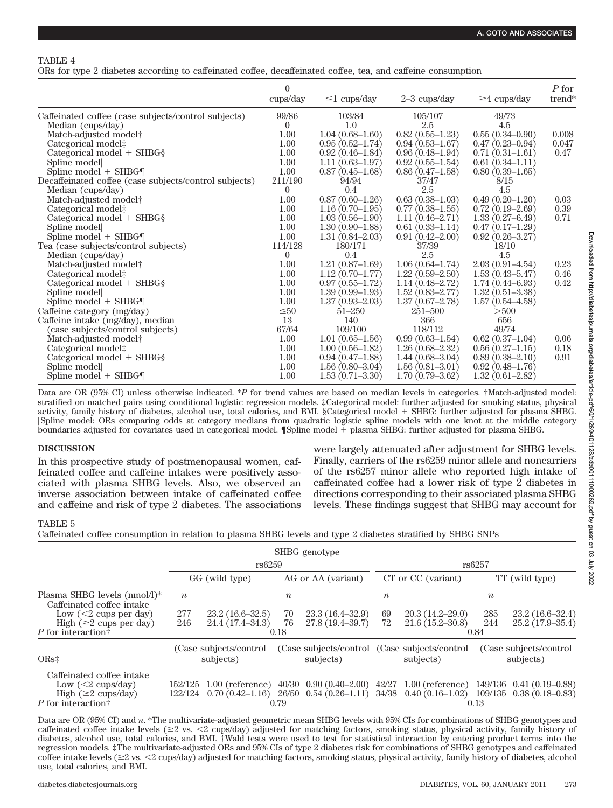# TABLE 4

ORs for type 2 diabetes according to caffeinated coffee, decaffeinated coffee, tea, and caffeine consumption

|                                                                          | 0                 |                     |                     |                     | P for  |
|--------------------------------------------------------------------------|-------------------|---------------------|---------------------|---------------------|--------|
|                                                                          | cups/day          | $\leq$ 1 cups/day   | $2-3$ cups/day      | $\geq$ 4 cups/day   | trend* |
| Caffeinated coffee (case subjects/control subjects)<br>Median (cups/day) | 99/86<br>$\Omega$ | 103/84<br>1.0       | 105/107<br>2.5      | 49/73<br>4.5        |        |
| Match-adjusted model <sup>†</sup>                                        | 1.00              | $1.04(0.68 - 1.60)$ | $0.82(0.55-1.23)$   | $0.55(0.34 - 0.90)$ | 0.008  |
| Categorical model:                                                       | 1.00              | $0.95(0.52 - 1.74)$ | $0.94(0.53 - 1.67)$ | $0.47(0.23 - 0.94)$ | 0.047  |
| Categorical model + SHBG§                                                | 1.00              | $0.92(0.46-1.84)$   | $0.96(0.48-1.94)$   | $0.71(0.31 - 1.61)$ | 0.47   |
| Spline model                                                             | 1.00              | $1.11(0.63 - 1.97)$ | $0.92(0.55-1.54)$   | $0.61(0.34 - 1.11)$ |        |
| Spline model $+$ SHBG $\P$                                               | 1.00              | $0.87(0.45-1.68)$   | $0.86(0.47-1.58)$   | $0.80(0.39-1.65)$   |        |
| Decaffeinated coffee (case subjects/control subjects)                    | 211/190           | 94/94               | 37/47               | 8/15                |        |
| Median (cups/day)                                                        | $\theta$          | 0.4                 | 2.5                 | 4.5                 |        |
| Match-adjusted model <sup>†</sup>                                        | 1.00              | $0.87(0.60 - 1.26)$ | $0.63(0.38-1.03)$   | $0.49(0.20 - 1.20)$ | 0.03   |
| Categorical model:                                                       | 1.00              | $1.16(0.70-1.95)$   | $0.77(0.38-1.55)$   | $0.72(0.19-2.69)$   | 0.39   |
| Categorical model $+$ SHBG $\S$                                          | 1.00              | $1.03(0.56-1.90)$   | $1.11(0.46 - 2.71)$ | $1.33(0.27 - 6.49)$ | 0.71   |
| Spline model                                                             | 1.00              | $1.30(0.90-1.88)$   | $0.61(0.33-1.14)$   | $0.47(0.17-1.29)$   |        |
| Spline model + SHBG¶                                                     | 1.00              | $1.31(0.84 - 2.03)$ | $0.91(0.42 - 2.00)$ | $0.92(0.26 - 3.27)$ |        |
| Tea (case subjects/control subjects)                                     | 114/128           | 180/171             | 37/39               | 18/10               |        |
| Median (cups/day)                                                        | $\theta$          | 0.4                 | 2.5                 | 4.5                 |        |
| Match-adjusted model <sup>†</sup>                                        | 1.00              | $1.21(0.87-1.69)$   | $1.06(0.64 - 1.74)$ | $2.03(0.91 - 4.54)$ | 0.23   |
| Categorical model:                                                       | 1.00              | $1.12(0.70-1.77)$   | $1.22(0.59-2.50)$   | $1.53(0.43 - 5.47)$ | 0.46   |
| Categorical model $+$ SHBG $\S$                                          | 1.00              | $0.97(0.55 - 1.72)$ | $1.14(0.48 - 2.72)$ | $1.74(0.44 - 6.93)$ | 0.42   |
| Spline model                                                             | 1.00              | $1.39(0.99-1.93)$   | $1.52(0.83 - 2.77)$ | $1.32(0.51 - 3.38)$ |        |
| Spline model + SHBG¶                                                     | 1.00              | $1.37(0.93 - 2.03)$ | $1.37(0.67-2.78)$   | $1.57(0.54 - 4.58)$ |        |
| Caffeine category (mg/day)                                               | $\leq 50$         | $51 - 250$          | $251 - 500$         | >500                |        |
| Caffeine intake (mg/day), median                                         | 13                | 140                 | 366                 | 656                 |        |
| (case subjects/control subjects)                                         | 67/64             | 109/100             | 118/112             | 49/74               |        |
| Match-adjusted model <sup>†</sup>                                        | 1.00              | $1.01(0.65-1.56)$   | $0.99(0.63 - 1.54)$ | $0.62(0.37-1.04)$   | 0.06   |
| Categorical model:                                                       | 1.00              | $1.00(0.56-1.82)$   | $1.26(0.68 - 2.32)$ | $0.56(0.27-1.15)$   | 0.18   |
| Categorical model $+$ SHBG $\S$                                          | 1.00              | $0.94(0.47-1.88)$   | $1.44(0.68 - 3.04)$ | $0.89(0.38 - 2.10)$ | 0.91   |
| Spline model                                                             | 1.00              | $1.56(0.80-3.04)$   | $1.56(0.81 - 3.01)$ | $0.92(0.48-1.76)$   |        |
| Spline model $+$ SHBG $\P$                                               | 1.00              | $1.53(0.71 - 3.30)$ | $1.70(0.79 - 3.62)$ | $1.32(0.61 - 2.82)$ |        |

Data are OR (95% CI) unless otherwise indicated. \**P* for trend values are based on median levels in categories. †Match-adjusted model: stratified on matched pairs using conditional logistic regression models. ‡Categorical model: further adjusted for smoking status, physical activity, family history of diabetes, alcohol use, total calories, and BMI. §Categorical model + SHBG: further adjusted for plasma SHBG. Spline model: ORs comparing odds at category medians from quadratic logistic spline models with one knot at the middle category boundaries adjusted for covariates used in categorical model. ¶Spline model plasma SHBG: further adjusted for plasma SHBG.

# **DISCUSSION**

In this prospective study of postmenopausal women, caffeinated coffee and caffeine intakes were positively associated with plasma SHBG levels. Also, we observed an inverse association between intake of caffeinated coffee and caffeine and risk of type 2 diabetes. The associations were largely attenuated after adjustment for SHBG levels. Finally, carriers of the rs6259 minor allele and noncarriers of the rs6257 minor allele who reported high intake of caffeinated coffee had a lower risk of type 2 diabetes in directions corresponding to their associated plasma SHBG levels. These findings suggest that SHBG may account for

# TABLE 5

Caffeinated coffee consumption in relation to plasma SHBG levels and type 2 diabetes stratified by SHBG SNPs

|                                                                                                                |                                 |                        |                    | SHBG genotype                                   |                    |                                                                                                                                                                                                              |                  |                     |
|----------------------------------------------------------------------------------------------------------------|---------------------------------|------------------------|--------------------|-------------------------------------------------|--------------------|--------------------------------------------------------------------------------------------------------------------------------------------------------------------------------------------------------------|------------------|---------------------|
|                                                                                                                | rs6259                          |                        |                    |                                                 | rs6257             |                                                                                                                                                                                                              |                  |                     |
|                                                                                                                | GG (wild type)                  |                        | AG or AA (variant) |                                                 | CT or CC (variant) |                                                                                                                                                                                                              | TT (wild type)   |                     |
| Plasma SHBG levels (nmol/l)*<br>Caffeinated coffee intake                                                      | $\boldsymbol{n}$                |                        | $\boldsymbol{n}$   |                                                 | $\boldsymbol{n}$   |                                                                                                                                                                                                              | $\boldsymbol{n}$ |                     |
| Low $(<2$ cups per day)                                                                                        | 277                             | $23.2(16.6-32.5)$      | 70                 | $23.3(16.4 - 32.9)$                             | 69                 | $20.3(14.2-29.0)$                                                                                                                                                                                            | 285              | $23.2(16.6 - 32.4)$ |
| High $(\geq 2$ cups per day)                                                                                   | 246                             | $24.4(17.4 - 34.3)$    | 76                 | $27.8(19.4 - 39.7)$                             | 72                 | $21.6(15.2 - 30.8)$                                                                                                                                                                                          | 244              | $25.2(17.9-35.4)$   |
| P for interaction†                                                                                             | 0.18<br>(Case subjects/control) |                        | 0.84               |                                                 |                    |                                                                                                                                                                                                              |                  |                     |
|                                                                                                                |                                 |                        |                    | (Case subjects/control) (Case subjects/control) |                    | (Case subjects/control)                                                                                                                                                                                      |                  |                     |
| OR <sub>s</sub> t                                                                                              |                                 | subjects)<br>subjects) |                    | subjects)                                       |                    | subjects)                                                                                                                                                                                                    |                  |                     |
| Caffeinated coffee intake<br>Low $(<2$ cups/day)<br>High $(\geq 2$ cups/day)<br>P for interaction <sup>†</sup> |                                 |                        | 0.79               |                                                 |                    | 152/125 1.00 (reference) 40/30 0.90 (0.40–2.00) 42/27 1.00 (reference) 149/136 0.41 (0.19–0.88)<br>$122/124$ 0.70 $(0.42-1.16)$ 26/50 0.54 $(0.26-1.11)$ 34/38 0.40 $(0.16-1.02)$ 109/135 0.38 $(0.18-0.83)$ | 0.13             |                     |

Data are OR (95% CI) and *n*. \*The multivariate-adjusted geometric mean SHBG levels with 95% CIs for combinations of SHBG genotypes and caffeinated coffee intake levels ( $\geq$ 2 vs. <2 cups/day) adjusted for matching factors, smoking status, physical activity, family history of diabetes, alcohol use, total calories, and BMI. †Wald tests were used to test for statistical interaction by entering product terms into the regression models. ‡The multivariate-adjusted ORs and 95% CIs of type 2 diabetes risk for combinations of SHBG genotypes and caffeinated coffee intake levels ( $\geq 2$  vs.  $\lt 2$  cups/day) adjusted for matching factors, smoking status, physical activity, family history of diabetes, alcohol use, total calories, and BMI.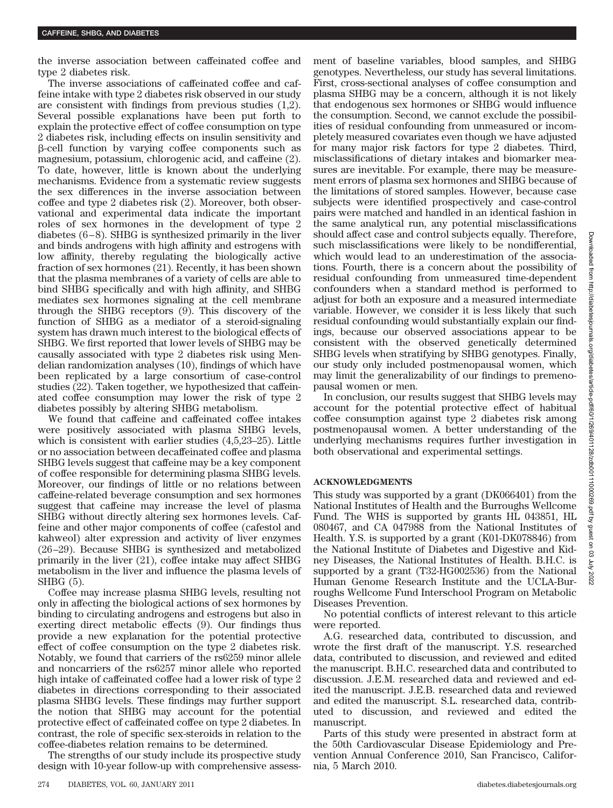the inverse association between caffeinated coffee and type 2 diabetes risk.

The inverse associations of caffeinated coffee and caffeine intake with type 2 diabetes risk observed in our study are consistent with findings from previous studies (1,2). Several possible explanations have been put forth to explain the protective effect of coffee consumption on type 2 diabetes risk, including effects on insulin sensitivity and --cell function by varying coffee components such as magnesium, potassium, chlorogenic acid, and caffeine (2). To date, however, little is known about the underlying mechanisms. Evidence from a systematic review suggests the sex differences in the inverse association between coffee and type 2 diabetes risk (2). Moreover, both observational and experimental data indicate the important roles of sex hormones in the development of type 2 diabetes (6–8). SHBG is synthesized primarily in the liver and binds androgens with high affinity and estrogens with low affinity, thereby regulating the biologically active fraction of sex hormones (21). Recently, it has been shown that the plasma membranes of a variety of cells are able to bind SHBG specifically and with high affinity, and SHBG mediates sex hormones signaling at the cell membrane through the SHBG receptors (9). This discovery of the function of SHBG as a mediator of a steroid-signaling system has drawn much interest to the biological effects of SHBG. We first reported that lower levels of SHBG may be causally associated with type 2 diabetes risk using Mendelian randomization analyses (10), findings of which have been replicated by a large consortium of case-control studies (22). Taken together, we hypothesized that caffeinated coffee consumption may lower the risk of type 2 diabetes possibly by altering SHBG metabolism.

We found that caffeine and caffeinated coffee intakes were positively associated with plasma SHBG levels, which is consistent with earlier studies (4,5,23–25). Little or no association between decaffeinated coffee and plasma SHBG levels suggest that caffeine may be a key component of coffee responsible for determining plasma SHBG levels. Moreover, our findings of little or no relations between caffeine-related beverage consumption and sex hormones suggest that caffeine may increase the level of plasma SHBG without directly altering sex hormones levels. Caffeine and other major components of coffee (cafestol and kahweol) alter expression and activity of liver enzymes (26–29). Because SHBG is synthesized and metabolized primarily in the liver (21), coffee intake may affect SHBG metabolism in the liver and influence the plasma levels of SHBG (5).

Coffee may increase plasma SHBG levels, resulting not only in affecting the biological actions of sex hormones by binding to circulating androgens and estrogens but also in exerting direct metabolic effects (9). Our findings thus provide a new explanation for the potential protective effect of coffee consumption on the type 2 diabetes risk. Notably, we found that carriers of the rs6259 minor allele and noncarriers of the rs6257 minor allele who reported high intake of caffeinated coffee had a lower risk of type 2 diabetes in directions corresponding to their associated plasma SHBG levels. These findings may further support the notion that SHBG may account for the potential protective effect of caffeinated coffee on type 2 diabetes. In contrast, the role of specific sex-steroids in relation to the coffee-diabetes relation remains to be determined.

The strengths of our study include its prospective study design with 10-year follow-up with comprehensive assessment of baseline variables, blood samples, and SHBG genotypes. Nevertheless, our study has several limitations. First, cross-sectional analyses of coffee consumption and plasma SHBG may be a concern, although it is not likely that endogenous sex hormones or SHBG would influence the consumption. Second, we cannot exclude the possibilities of residual confounding from unmeasured or incompletely measured covariates even though we have adjusted for many major risk factors for type 2 diabetes. Third, misclassifications of dietary intakes and biomarker measures are inevitable. For example, there may be measurement errors of plasma sex hormones and SHBG because of the limitations of stored samples. However, because case subjects were identified prospectively and case-control pairs were matched and handled in an identical fashion in the same analytical run, any potential misclassifications should affect case and control subjects equally. Therefore, such misclassifications were likely to be nondifferential, which would lead to an underestimation of the associations. Fourth, there is a concern about the possibility of residual confounding from unmeasured time-dependent confounders when a standard method is performed to adjust for both an exposure and a measured intermediate variable. However, we consider it is less likely that such residual confounding would substantially explain our findings, because our observed associations appear to be consistent with the observed genetically determined SHBG levels when stratifying by SHBG genotypes. Finally, our study only included postmenopausal women, which may limit the generalizability of our findings to premenopausal women or men.

In conclusion, our results suggest that SHBG levels may account for the potential protective effect of habitual coffee consumption against type 2 diabetes risk among postmenopausal women. A better understanding of the underlying mechanisms requires further investigation in both observational and experimental settings.

# **ACKNOWLEDGMENTS**

This study was supported by a grant (DK066401) from the National Institutes of Health and the Burroughs Wellcome Fund. The WHS is supported by grants HL 043851, HL 080467, and CA 047988 from the National Institutes of Health. Y.S. is supported by a grant (K01-DK078846) from the National Institute of Diabetes and Digestive and Kidney Diseases, the National Institutes of Health. B.H.C. is supported by a grant (T32-HG002536) from the National Human Genome Research Institute and the UCLA-Burroughs Wellcome Fund Interschool Program on Metabolic Diseases Prevention.

No potential conflicts of interest relevant to this article were reported.

A.G. researched data, contributed to discussion, and wrote the first draft of the manuscript. Y.S. researched data, contributed to discussion, and reviewed and edited the manuscript. B.H.C. researched data and contributed to discussion. J.E.M. researched data and reviewed and edited the manuscript. J.E.B. researched data and reviewed and edited the manuscript. S.L. researched data, contributed to discussion, and reviewed and edited the manuscript.

Parts of this study were presented in abstract form at the 50th Cardiovascular Disease Epidemiology and Prevention Annual Conference 2010, San Francisco, California, 5 March 2010.